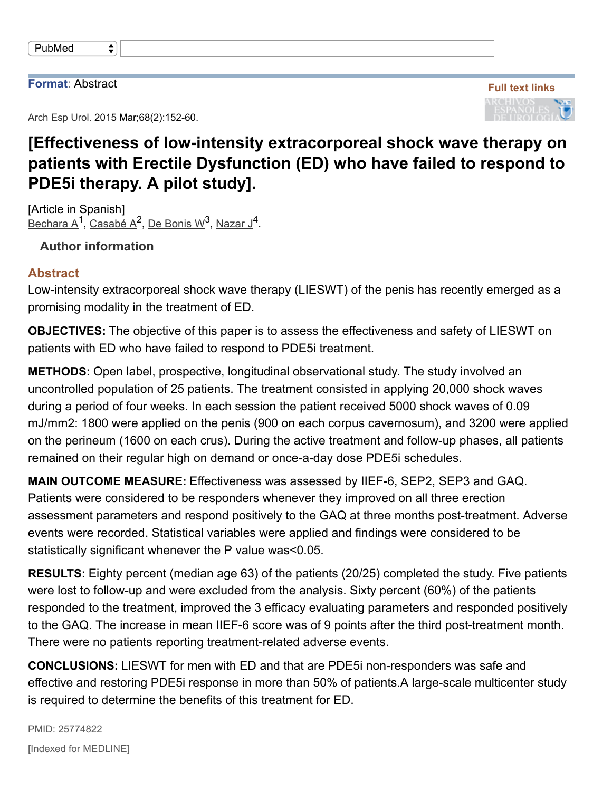## **Format**: Abstract

Arch Esp Urol. 2015 Mar; 68(2): 152-60.

 $\bigstar$ 



## **[Effectiveness of lowintensity extracorporeal shock wave therapy on patients with Erectile Dysfunction (ED) who have failed to respond to PDE5i therapy. A pilot study].**

[Article in Spanish] Bechara A<sup>1</sup>, Casabé A<sup>2</sup>, De Bonis W<sup>3</sup>, Nazar J<sup>4</sup>.

**Author information**

## **Abstract**

Low-intensity extracorporeal shock wave therapy (LIESWT) of the penis has recently emerged as a promising modality in the treatment of ED.

**OBJECTIVES:** The objective of this paper is to assess the effectiveness and safety of LIESWT on patients with ED who have failed to respond to PDE5i treatment.

**METHODS:** Open label, prospective, longitudinal observational study. The study involved an uncontrolled population of 25 patients. The treatment consisted in applying 20,000 shock waves during a period of four weeks. In each session the patient received 5000 shock waves of 0.09 mJ/mm2: 1800 were applied on the penis (900 on each corpus cavernosum), and 3200 were applied on the perineum (1600 on each crus). During the active treatment and follow-up phases, all patients remained on their regular high on demand or once-a-day dose PDE5i schedules.

**MAIN OUTCOME MEASURE:** Effectiveness was assessed by IIEF-6, SEP2, SEP3 and GAQ. Patients were considered to be responders whenever they improved on all three erection assessment parameters and respond positively to the GAQ at three months post-treatment. Adverse events were recorded. Statistical variables were applied and findings were considered to be statistically significant whenever the P value was<0.05.

**RESULTS:** Eighty percent (median age 63) of the patients (20/25) completed the study. Five patients were lost to follow-up and were excluded from the analysis. Sixty percent (60%) of the patients responded to the treatment, improved the 3 efficacy evaluating parameters and responded positively to the GAQ. The increase in mean IIEF-6 score was of 9 points after the third post-treatment month. There were no patients reporting treatment-related adverse events.

**CONCLUSIONS:** LIESWT for men with ED and that are PDE5i non-responders was safe and effective and restoring PDE5i response in more than 50% of patients. A large-scale multicenter study is required to determine the benefits of this treatment for ED.